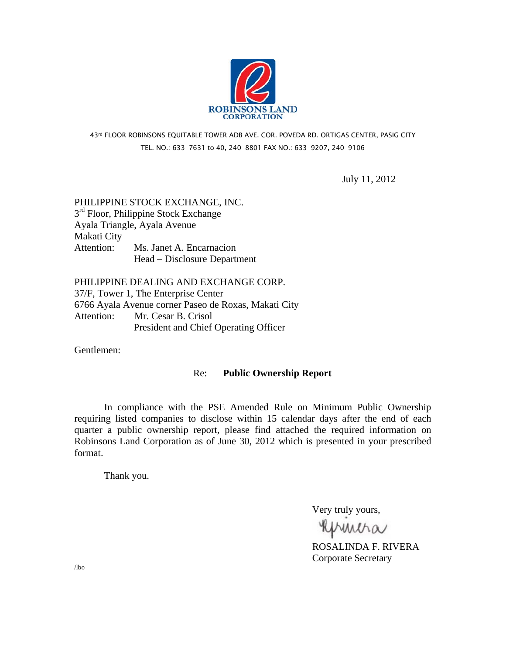

# 43rd FLOOR ROBINSONS EQUITABLE TOWER ADB AVE. COR. POVEDA RD. ORTIGAS CENTER, PASIG CITY TEL. NO.: 633-7631 to 40, 240-8801 FAX NO.: 633-9207, 240-9106

July 11, 2012

# PHILIPPINE STOCK EXCHANGE, INC.  $3<sup>rd</sup>$  Floor, Philippine Stock Exchange Ayala Triangle, Ayala Avenue Makati City Attention: Ms. Janet A. Encarnacion Head – Disclosure Department

PHILIPPINE DEALING AND EXCHANGE CORP. 37/F, Tower 1, The Enterprise Center 6766 Ayala Avenue corner Paseo de Roxas, Makati City Attention: Mr. Cesar B. Crisol President and Chief Operating Officer

Gentlemen:

## Re: **Public Ownership Report**

 In compliance with the PSE Amended Rule on Minimum Public Ownership requiring listed companies to disclose within 15 calendar days after the end of each quarter a public ownership report, please find attached the required information on Robinsons Land Corporation as of June 30, 2012 which is presented in your prescribed format.

Thank you.

Very truly yours,

**RUMMA**<br>ROSALINDA F. RIVERA

Corporate Secretary

/lbo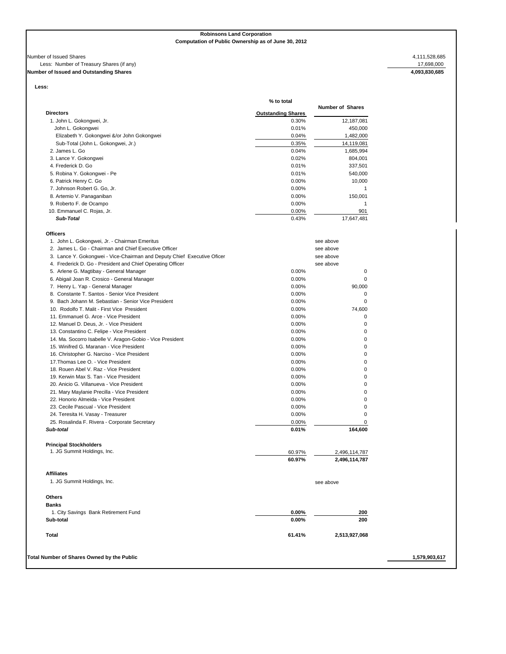**Robinsons Land Corporation Computation of Public Ownership as of June 30, 2012**

### Number of Issued Shares 4,111,528,685<br>Less: Number of Treasury Shares (if any) and the set of Treasury Shares (if any) and the set of Issued and Outstanding Shares 4,093,830,685 Less: Number of Treasury Shares (if any) **Number of Issued and Outstanding Shares**

**Less:** 

| <b>Outstanding Shares</b><br>0.30%<br>0.01%<br>0.04%<br>0.35%<br>0.04%<br>0.02%<br>0.01%<br>0.01%<br>0.00%<br>0.00%<br>0.00%<br>0.00%<br>0.00%<br>0.43% | <b>Number of Shares</b><br>12,187,081<br>450,000<br>1,482,000<br>14,119,081<br>1,685,994<br>804,001<br>337,501<br>540,000<br>10,000<br>1<br>150,001<br>$\mathbf{1}$<br>901<br>17,647,481<br>see above |
|---------------------------------------------------------------------------------------------------------------------------------------------------------|-------------------------------------------------------------------------------------------------------------------------------------------------------------------------------------------------------|
|                                                                                                                                                         |                                                                                                                                                                                                       |
|                                                                                                                                                         |                                                                                                                                                                                                       |
|                                                                                                                                                         |                                                                                                                                                                                                       |
|                                                                                                                                                         |                                                                                                                                                                                                       |
|                                                                                                                                                         |                                                                                                                                                                                                       |
|                                                                                                                                                         |                                                                                                                                                                                                       |
|                                                                                                                                                         |                                                                                                                                                                                                       |
|                                                                                                                                                         |                                                                                                                                                                                                       |
|                                                                                                                                                         |                                                                                                                                                                                                       |
|                                                                                                                                                         |                                                                                                                                                                                                       |
|                                                                                                                                                         |                                                                                                                                                                                                       |
|                                                                                                                                                         |                                                                                                                                                                                                       |
|                                                                                                                                                         |                                                                                                                                                                                                       |
|                                                                                                                                                         |                                                                                                                                                                                                       |
|                                                                                                                                                         |                                                                                                                                                                                                       |
|                                                                                                                                                         |                                                                                                                                                                                                       |
|                                                                                                                                                         |                                                                                                                                                                                                       |
|                                                                                                                                                         | see above                                                                                                                                                                                             |
|                                                                                                                                                         | see above                                                                                                                                                                                             |
|                                                                                                                                                         | see above                                                                                                                                                                                             |
| 0.00%                                                                                                                                                   | 0                                                                                                                                                                                                     |
| 0.00%                                                                                                                                                   | $\pmb{0}$                                                                                                                                                                                             |
| 0.00%                                                                                                                                                   | 90,000                                                                                                                                                                                                |
| 0.00%                                                                                                                                                   | $\mathbf 0$                                                                                                                                                                                           |
| 0.00%                                                                                                                                                   | $\mathbf 0$                                                                                                                                                                                           |
| 0.00%                                                                                                                                                   | 74,600                                                                                                                                                                                                |
| 0.00%                                                                                                                                                   | $\mathbf 0$                                                                                                                                                                                           |
| 0.00%                                                                                                                                                   | 0                                                                                                                                                                                                     |
| 0.00%                                                                                                                                                   | 0                                                                                                                                                                                                     |
| 0.00%                                                                                                                                                   | 0                                                                                                                                                                                                     |
| 0.00%                                                                                                                                                   | 0                                                                                                                                                                                                     |
| 0.00%                                                                                                                                                   | 0                                                                                                                                                                                                     |
| 0.00%                                                                                                                                                   | 0                                                                                                                                                                                                     |
| 0.00%                                                                                                                                                   | 0                                                                                                                                                                                                     |
| 0.00%                                                                                                                                                   | 0                                                                                                                                                                                                     |
| 0.00%                                                                                                                                                   | 0                                                                                                                                                                                                     |
| 0.00%                                                                                                                                                   | 0                                                                                                                                                                                                     |
| 0.00%                                                                                                                                                   | 0                                                                                                                                                                                                     |
| 0.00%                                                                                                                                                   | 0                                                                                                                                                                                                     |
| 0.00%                                                                                                                                                   | 0                                                                                                                                                                                                     |
| 0.00%                                                                                                                                                   | 0                                                                                                                                                                                                     |
| 0.01%                                                                                                                                                   | 164,600                                                                                                                                                                                               |
|                                                                                                                                                         |                                                                                                                                                                                                       |
| 60.97%                                                                                                                                                  | 2,496,114,787                                                                                                                                                                                         |
| 60.97%                                                                                                                                                  | 2,496,114,787                                                                                                                                                                                         |
|                                                                                                                                                         |                                                                                                                                                                                                       |
|                                                                                                                                                         | see above                                                                                                                                                                                             |
|                                                                                                                                                         |                                                                                                                                                                                                       |
|                                                                                                                                                         |                                                                                                                                                                                                       |
|                                                                                                                                                         | 200                                                                                                                                                                                                   |
|                                                                                                                                                         | 200                                                                                                                                                                                                   |
| 61.41%                                                                                                                                                  | 2,513,927,068                                                                                                                                                                                         |
|                                                                                                                                                         |                                                                                                                                                                                                       |
|                                                                                                                                                         | $0.00\%$<br>$0.00\%$                                                                                                                                                                                  |